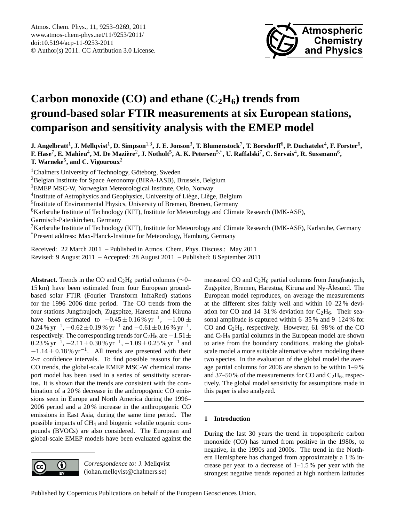

# <span id="page-0-0"></span>**Carbon monoxide (CO) and ethane**  $(C_2H_6)$  **trends from ground-based solar FTIR measurements at six European stations, comparison and sensitivity analysis with the EMEP model**

 ${\bf J.}$  Angelbratt<sup>1</sup>,  ${\bf J.}$  Mellqvist<sup>1</sup>,  ${\bf D.}$  Simpson<sup>1,3</sup>,  ${\bf J.}$  E. Jonson<sup>3</sup>, T. Blumenstock<sup>7</sup>, T. Borsdorff<sup>6</sup>, P. Duchatelet<sup>4</sup>, F. Forster<sup>6</sup>,  ${\bf F. \ Hase}^7,$   ${\bf E. \ Mahieu}^4,$   ${\bf M. \ De \ Mazière}^2,$   ${\bf J. \ Notholt}^5,$   ${\bf A. \ K. \ Petersen}^{5, *},$   ${\bf U. \ Raffalski}^7,$   ${\bf C. \ Servais}^4,$   ${\bf R. \ Sussmann}^6,$ **T. Warneke**<sup>5</sup> **, and C. Vigouroux**<sup>2</sup>

<sup>1</sup>Chalmers University of Technology, Göteborg, Sweden

<sup>2</sup>Belgian Institute for Space Aeronomy (BIRA-IASB), Brussels, Belgium

- <sup>3</sup>EMEP MSC-W, Norwegian Meteorological Institute, Oslo, Norway
- <sup>4</sup>Institute of Astrophysics and Geophysics, University of Liège, Liège, Belgium

<sup>5</sup>Institute of Environmental Physics, University of Bremen, Bremen, Germany

- <sup>6</sup>Karlsruhe Institute of Technology (KIT), Institute for Meteorology and Climate Research (IMK-ASF),
- Garmisch-Patenkirchen, Germany

<sup>7</sup>Karlsruhe Institute of Technology (KIT), Institute for Meteorology and Climate Research (IMK-ASF), Karlsruhe, Germany

\*Present address: Max-Planck-Institute for Meteorology, Hamburg, Germany

Received: 22 March 2011 – Published in Atmos. Chem. Phys. Discuss.: May 2011 Revised: 9 August 2011 – Accepted: 28 August 2011 – Published: 8 September 2011

**Abstract.** Trends in the CO and  $C_2H_6$  partial columns ( $\sim 0-$ 15 km) have been estimated from four European groundbased solar FTIR (Fourier Transform InfraRed) stations for the 1996–2006 time period. The CO trends from the four stations Jungfraujoch, Zugspitze, Harestua and Kiruna have been estimated to  $-0.45 \pm 0.16$  % yr<sup>-1</sup>,  $-1.00 \pm$ 0.24 %  $yr^{-1}$ ,  $-0.62 \pm 0.19$  %  $yr^{-1}$  and  $-0.61 \pm 0.16$  %  $yr^{-1}$ , respectively. The corresponding trends for C<sub>2</sub>H<sub>6</sub> are  $-1.51 \pm$ 0.23 %  $yr^{-1}$ ,  $-2.11 \pm 0.30$  %  $yr^{-1}$ ,  $-1.09 \pm 0.25$  %  $yr^{-1}$  and  $-1.14 \pm 0.18$ % yr<sup>-1</sup>. All trends are presented with their 2- $\sigma$  confidence intervals. To find possible reasons for the CO trends, the global-scale EMEP MSC-W chemical transport model has been used in a series of sensitivity scenarios. It is shown that the trends are consistent with the combination of a 20 % decrease in the anthropogenic CO emissions seen in Europe and North America during the 1996– 2006 period and a 20 % increase in the anthropogenic CO emissions in East Asia, during the same time period. The possible impacts of CH<sup>4</sup> and biogenic volatile organic compounds (BVOCs) are also considered. The European and global-scale EMEP models have been evaluated against the

G (johan.mellqvist@chalmers.se) measured CO and  $C_2H_6$  partial columns from Jungfraujoch, Zugspitze, Bremen, Harestua, Kiruna and Ny-Ålesund. The European model reproduces, on average the measurements at the different sites fairly well and within 10–22 % deviation for CO and 14–31% deviation for  $C_2H_6$ . Their seasonal amplitude is captured within 6–35 % and 9–124 % for CO and  $C_2H_6$ , respectively. However, 61–98% of the CO and  $C_2H_6$  partial columns in the European model are shown to arise from the boundary conditions, making the globalscale model a more suitable alternative when modeling these two species. In the evaluation of the global model the average partial columns for 2006 are shown to be within 1–9 % and 37–50 % of the measurements for CO and  $C_2H_6$ , respectively. The global model sensitivity for assumptions made in this paper is also analyzed.

# **1 Introduction**

During the last 30 years the trend in tropospheric carbon monoxide (CO) has turned from positive in the 1980s, to negative, in the 1990s and 2000s. The trend in the Northern Hemisphere has changed from approximately a 1 % increase per year to a decrease of 1–1.5 % per year with the strongest negative trends reported at high northern latitudes

*Correspondence to:* J. Mellqvist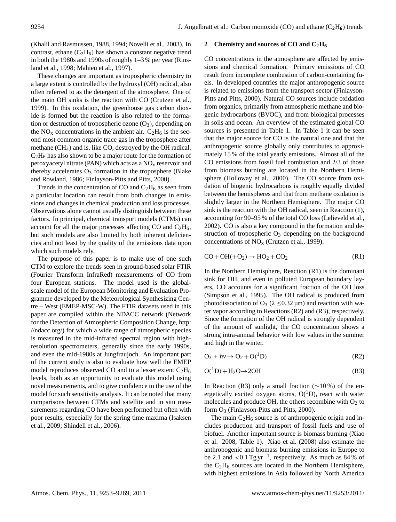(Khalil and Rasmussen, 1988, 1994; Novelli et al., 2003). In contrast, ethane  $(C_2H_6)$  has shown a constant negative trend in both the 1980s and 1990s of roughly 1–3 % per year (Rinsland et al., 1998; Mahieu et al., 1997).

These changes are important as tropospheric chemistry to a large extent is controlled by the hydroxyl (OH) radical, also often referred to as the detergent of the atmosphere. One of the main OH sinks is the reaction with CO (Crutzen et al., 1999). In this oxidation, the greenhouse gas carbon dioxide is formed but the reaction is also related to the formation or destruction of tropospheric ozone  $(O_3)$ , depending on the  $NO<sub>x</sub>$  concentrations in the ambient air.  $C<sub>2</sub>H<sub>6</sub>$  is the second most common organic trace gas in the troposphere after methane (CH4) and is, like CO, destroyed by the OH radical.  $C_2H_6$  has also shown to be a major route for the formation of peroxyacetyl nitrate (PAN) which acts as a  $NO<sub>x</sub>$  reservoir and thereby accelerates  $O_3$  formation in the troposphere (Blake and Rowland, 1986; Finlayson-Pitts and Pitts, 2000).

Trends in the concentration of CO and  $C_2H_6$  as seen from a particular location can result from both changes in emissions and changes in chemical production and loss processes. Observations alone cannot usually distinguish between these factors. In principal, chemical transport models (CTMs) can account for all the major processes affecting CO and  $C_2H_6$ , but such models are also limited by both inherent deficiencies and not least by the quality of the emissions data upon which such models rely.

The purpose of this paper is to make use of one such CTM to explore the trends seen in ground-based solar FTIR (Fourier Transform InfraRed) measurements of CO from four European stations. The model used is the globalscale model of the European Monitoring and Evaluation Programme developed by the Meteorological Synthesizing Centre – West (EMEP-MSC-W). The FTIR datasets used in this paper are compiled within the NDACC network (Network for the Detection of Atmospheric Composition Change, [http:](http://ndacc.org/) [//ndacc.org/\)](http://ndacc.org/) for which a wide range of atmospheric species is measured in the mid-infrared spectral region with highresolution spectrometers, generally since the early 1990s, and even the mid-1980s at Jungfraujoch. An important part of the current study is also to evaluate how well the EMEP model reproduces observed CO and to a lesser extent  $C_2H_6$ levels, both as an opportunity to evaluate this model using novel measurements, and to give confidence to the use of the model for such sensitivity analysis. It can be noted that many comparisons between CTMs and satellite and in situ measurements regarding CO have been performed but often with poor results, especially for the spring time maxima (Isaksen et al., 2009; Shindell et al., 2006).

## **2 Chemistry and sources of CO and C2H<sup>6</sup>**

CO concentrations in the atmosphere are affected by emissions and chemical formation. Primary emissions of CO result from incomplete combustion of carbon-containing fuels. In developed countries the major anthropogenic source is related to emissions from the transport sector (Finlayson-Pitts and Pitts, 2000). Natural CO sources include oxidation from organics, primarily from atmospheric methane and biogenic hydrocarbons (BVOC), and from biological processes in soils and ocean. An overview of the estimated global CO sources is presented in Table 1. In Table 1 it can be seen that the major source for CO is the natural one and that the anthropogenic source globally only contributes to approximately 15 % of the total yearly emissions. Almost all of the CO emissions from fossil fuel combustion and 2/3 of those from biomass burning are located in the Northern Hemisphere (Holloway et al., 2000). The CO source from oxidation of biogenic hydrocarbons is roughly equally divided between the hemispheres and that from methane oxidation is slightly larger in the Northern Hemisphere. The major CO sink is the reaction with the OH radical, seen in Reaction (1), accounting for 90–95 % of the total CO loss (Lelieveld et al., 2002). CO is also a key compound in the formation and destruction of tropospheric  $O_3$  depending on the background concentrations of  $NO<sub>x</sub>$  (Crutzen et al., 1999).

$$
CO + OH(+O2) \rightarrow HO2 + CO2
$$
 (R1)

In the Northern Hemisphere, Reaction (R1) is the dominant sink for OH, and even in polluted European boundary layers, CO accounts for a significant fraction of the OH loss (Simpson et al., 1995). The OH radical is produced from photodissociation of O<sub>3</sub> ( $\lambda \le 0.32 \,\mu$ m) and reaction with water vapor according to Reactions (R2) and (R3), respectively. Since the formation of the OH radical is strongly dependent of the amount of sunlight, the CO concentration shows a strong intra-annual behavior with low values in the summer and high in the winter.

 $O_3 + hv \rightarrow O_2 + O(^1D)$  $^{1}D)$  (R2)

$$
O(^{1}D) + H_{2}O \rightarrow 2OH \tag{R3}
$$

In Reaction (R3) only a small fraction (∼10 %) of the energetically excited oxygen atoms,  $O(^1D)$ , react with water molecules and produce OH, the others recombine with  $O_2$  to form  $O_3$  (Finlayson-Pitts and Pitts, 2000).

The main  $C_2H_6$  source is of anthropogenic origin and includes production and transport of fossil fuels and use of biofuel. Another important source is biomass burning (Xiao et al. 2008, Table 1). Xiao et al. (2008) also estimate the anthropogenic and biomass burning emissions in Europe to be 2.1 and <0.1 Tg yr<sup>-1</sup>, respectively. As much as 84 % of the  $C_2H_6$  sources are located in the Northern Hemisphere, with highest emissions in Asia followed by North America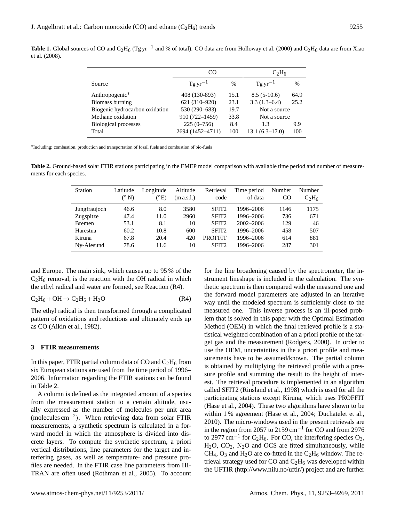**Table 1.** Global sources of CO and C<sub>2</sub>H<sub>6</sub> (Tg yr<sup>-1</sup> and % of total). CO data are from Holloway et al. (2000) and C<sub>2</sub>H<sub>6</sub> data are from Xiao et al. (2008).

| CO               | $C_2H_6$ |                  |                              |
|------------------|----------|------------------|------------------------------|
| $Tgyr^{-1}$      | %        | $Tgyr^{-1}$      | $\%$                         |
| 408 (130-893)    | 15.1     | $8.5(5-10.6)$    | 64.9                         |
| 621 (310-920)    | 23.1     | $3.3(1.3-6.4)$   | 25.2                         |
| 530 (290-683)    | 19.7     |                  |                              |
| 910 (722-1459)   | 33.8     |                  |                              |
| $225(0-756)$     | 8.4      | 1.3              | 9.9                          |
| 2694 (1452-4711) | 100      | $13.1(6.3-17.0)$ | 100                          |
|                  |          |                  | Not a source<br>Not a source |

∗ Including: combustion, production and transportation of fossil fuels and combustion of bio-fuels

**Table 2.** Ground-based solar FTIR stations participating in the EMEP model comparison with available time period and number of measurements for each species.

| <b>Station</b> | Latitude<br>$(^\circ N)$ | Longitude<br>$\rm ^{o}E$ | Altitude<br>(m a.s.l.) | Retrieval<br>code | Time period<br>of data | Number<br>CO | Number<br>$C_2H_6$ |
|----------------|--------------------------|--------------------------|------------------------|-------------------|------------------------|--------------|--------------------|
| Jungfraujoch   | 46.6                     | 8.0                      | 3580                   | SFIT <sub>2</sub> | 1996–2006              | 1146         | 1175               |
| Zugspitze      | 47.4                     | 11.0                     | 2960                   | SFIT <sub>2</sub> | 1996-2006              | 736          | 671                |
| <b>Bremen</b>  | 53.1                     | 8.1                      | 10                     | SFIT <sub>2</sub> | $2002 - 2006$          | 129          | 46                 |
| Harestua       | 60.2                     | 10.8                     | 600                    | SFIT <sub>2</sub> | 1996-2006              | 458          | 507                |
| Kiruna         | 67.8                     | 20.4                     | 420                    | <b>PROFFIT</b>    | 1996-2006              | 614          | 881                |
| Ny-Ålesund     | 78.6                     | 11.6                     | 10                     | SFIT <sub>2</sub> | 1996-2006              | 287          | 301                |

and Europe. The main sink, which causes up to 95 % of the  $C_2H_6$  removal, is the reaction with the OH radical in which the ethyl radical and water are formed, see Reaction (R4).

$$
C_2H_6 + OH \rightarrow C_2H_5 + H_2O \tag{R4}
$$

The ethyl radical is then transformed through a complicated pattern of oxidations and reductions and ultimately ends up as CO (Aikin et al., 1982).

## **3 FTIR measurements**

In this paper, FTIR partial column data of CO and  $C_2H_6$  from six European stations are used from the time period of 1996– 2006. Information regarding the FTIR stations can be found in Table 2.

A column is defined as the integrated amount of a species from the measurement station to a certain altitude, usually expressed as the number of molecules per unit area (molecules cm−<sup>2</sup> ). When retrieving data from solar FTIR measurements, a synthetic spectrum is calculated in a forward model in which the atmosphere is divided into discrete layers. To compute the synthetic spectrum, a priori vertical distributions, line parameters for the target and interfering gases, as well as temperature- and pressure profiles are needed. In the FTIR case line parameters from HI-TRAN are often used (Rothman et al., 2005). To account for the line broadening caused by the spectrometer, the instrument lineshape is included in the calculation. The synthetic spectrum is then compared with the measured one and the forward model parameters are adjusted in an iterative way until the modeled spectrum is sufficiently close to the measured one. This inverse process is an ill-posed problem that is solved in this paper with the Optimal Estimation Method (OEM) in which the final retrieved profile is a statistical weighted combination of an a priori profile of the target gas and the measurement (Rodgers, 2000). In order to use the OEM, uncertainties in the a priori profile and measurements have to be assumed/known. The partial column is obtained by multiplying the retrieved profile with a pressure profile and summing the result to the height of interest. The retrieval procedure is implemented in an algorithm called SFIT2 (Rinsland et al., 1998) which is used for all the participating stations except Kiruna, which uses PROFFIT (Hase et al., 2004). These two algorithms have shown to be within 1 % agreement (Hase et al., 2004; Duchatelet et al., 2010). The micro-windows used in the present retrievals are in the region from 2057 to 2159 cm<sup>-1</sup> for CO and from 2976 to 2977 cm<sup>-1</sup> for C<sub>2</sub>H<sub>6</sub>. For CO, the interfering species O<sub>3</sub>,  $H<sub>2</sub>O$ ,  $CO<sub>2</sub>$ ,  $N<sub>2</sub>O$  and OCS are fitted simultaneously, while  $CH_4$ ,  $O_3$  and  $H_2O$  are co-fitted in the  $C_2H_6$  window. The retrieval strategy used for CO and  $C_2H_6$  was developed within the UFTIR [\(http://www.nilu.no/uftir/\)](http://www.nilu.no/uftir/) project and are further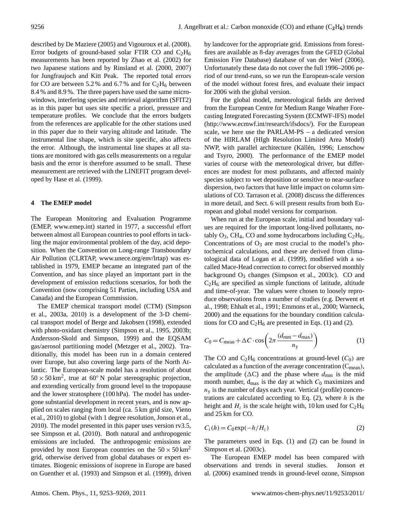described by De Maziere (2005) and Vigouroux et al. (2008). Error budgets of ground-based solar FTIR CO and  $C_2H_6$ measurements has been reported by Zhao et al. (2002) for two Japanese stations and by Rinsland et al. (2000, 2007) for Jungfraujoch and Kitt Peak. The reported total errors for CO are between 5.2% and 6.7% and for  $C_2H_6$  between 8.4 % and 8.9 %. The three papers have used the same microwindows, interfering species and retrieval algorithm (SFIT2) as in this paper but uses site specific a priori, pressure and temperature profiles. We conclude that the errors budgets from the references are applicable for the other stations used in this paper due to their varying altitude and latitude. The instrumental line shape, which is site specific, also affects the error. Although, the instrumental line shapes at all stations are monitored with gas cells measurements on a regular basis and the error is therefore assumed to be small. These measurement are retrieved with the LINEFIT program developed by Hase et al. (1999).

#### <span id="page-3-0"></span>**4 The EMEP model**

The European Monitoring and Evaluation Programme (EMEP, [www.emep.int\)](www.emep.int) started in 1977, a successful effort between almost all European countries to pool efforts in tackling the major environmental problem of the day, acid deposition. When the Convention on Long-range Transboundary Air Pollution (CLRTAP, [www.unece.org/env/lrtap\)](www.unece.org/env/lrtap) was established in 1979, EMEP became an integrated part of the Convention, and has since played an important part in the development of emission reductions scenarios, for both the Convention (now comprising 51 Parties, including USA and Canada) and the European Commission.

The EMEP chemical transport model (CTM) (Simpson et al., 2003a, 2010) is a development of the 3-D chemical transport model of Berge and Jakobsen (1998), extended with photo-oxidant chemistry (Simpson et al., 1995, 2003b; Andersson-Skold and Simpson, 1999) and the EQSAM gas/aerosol partitioning model (Metzger et al., 2002). Traditionally, this model has been run in a domain centered over Europe, but also covering large parts of the North Atlantic. The European-scale model has a resolution of about  $50 \times 50 \text{ km}^2$ , true at  $60°$  N polar stereographic projection, and extending vertically from ground level to the tropopause and the lower stratosphere (100 hPa). The model has undergone substantial development in recent years, and is now applied on scales ranging from local (ca. 5 km grid size, Vieno et al., 2010) to global (with 1 degree resolution, Jonson et al., 2010). The model presented in this paper uses version rv3.5, see Simpson et al. (2010). Both natural and anthropogenic emissions are included. The anthropogenic emissions are provided by most European countries on the  $50 \times 50 \text{ km}^2$ grid, otherwise derived from global databases or expert estimates. Biogenic emissions of isoprene in Europe are based on Guenther et al. (1993) and Simpson et al. (1999), driven by landcover for the appropriate grid. Emissions from forestfires are available as 8-day averages from the GFED (Global Emission Fire Database) database of van der Werf (2006). Unfortunately these data do not cover the full 1996–2006 period of our trend-runs, so we run the European-scale version of the model without forest fires, and evaluate their impact for 2006 with the global version.

For the global model, meteorological fields are derived from the European Centre for Medium Range Weather Forecasting Integrated Forecasting System (ECMWF-IFS) model [\(http://www.ecmwf.int/research/ifsdocs/\)](http://www.ecmwf.int/research/ifsdocs/). For the European scale, we here use the PARLAM-PS – a dedicated version of the HIRLAM (HIgh Resolution Limited Area Model) NWP, with parallel architecture (Källén, 1996; Lenschow and Tsyro, 2000). The performance of the EMEP model varies of course with the meteorological driver, but differences are modest for most pollutants, and affected mainly species subject to wet deposition or sensitive to near-surface dispersion, two factors that have little impact on column simulations of CO. Tarrason et al. (2008) discuss the differences in more detail, and Sect. 6 will present results from both European and global model versions for comparison.

When run at the European scale, initial and boundary values are required for the important long-lived pollutants, notably  $O_3$ , CH<sub>4</sub>, CO and some hydrocarbons including  $C_2H_6$ . Concentrations of  $O_3$  are most crucial to the model's photochemical calculations, and these are derived from climatological data of Logan et al. (1999), modified with a socalled Mace-Head correction to correct for observed monthly background  $O_3$  changes (Simpson et al., 2003c). CO and  $C_2H_6$  are specified as simple functions of latitude, altitude and time-of-year. The values were chosen to loosely reproduce observations from a number of studies (e.g. Derwent et al., 1998; Ehhalt et al., 1991; Emmons et al., 2000; Warneck, 2000) and the equations for the boundary condition calculations for CO and  $C_2H_6$  are presented in Eqs. (1) and (2).

$$
C_0 = C_{\text{mean}} + \Delta C \cdot \cos\left(2\pi \frac{(d_{\text{mm}} - d_{\text{max}})}{n_y}\right) \tag{1}
$$

The CO and  $C_2H_6$  concentrations at ground-level  $(C_0)$  are calculated as a function of the average concentration  $(C_{mean})$ , the amplitude ( $\Delta C$ ) and the phase where  $d_{mm}$  is the mid month number,  $d_{max}$  is the day at which  $C_0$  maximizes and  $n<sub>y</sub>$  is the number of days each year. Vertical (profile) concentrations are calculated according to Eq.  $(2)$ , where h is the height and  $H_z$  is the scale height with, 10 km used for  $C_2H_6$ and 25 km for CO.

$$
C_i(h) = C_0 \exp(-h/H_z)
$$
 (2)

The parameters used in Eqs. (1) and (2) can be found in Simpson et al. (2003c).

The European EMEP model has been compared with observations and trends in several studies. Jonson et al. (2006) examined trends in ground-level ozone, Simpson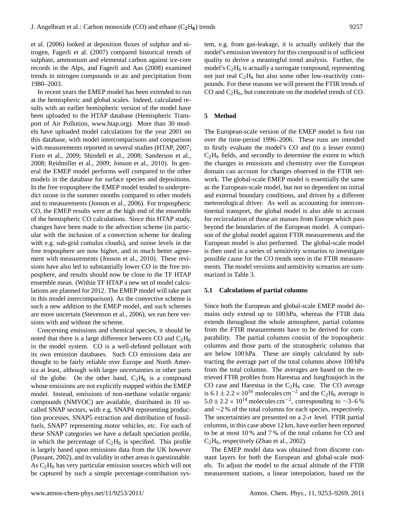et al. (2006) looked at deposition fluxes of sulphur and nitrogen, Fagerli et al. (2007) compared historical trends of sulphate, ammonium and elemental carbon against ice-core records in the Alps, and Fagerli and Aas (2008) examined trends in nitrogen compounds in air and precipitation from 1980–2003.

In recent years the EMEP model has been extended to run at the hemispheric and global scales. Indeed, calculated results with an earlier hemispheric version of the model have been uploaded to the HTAP database (Hemispheric Transport of Air Pollution, [www.htap.org\)](www.htap.org). More than 30 models have uploaded model calculations for the year 2001 on this database, with model intercomparisons and comparison with measurements reported in several studies (HTAP, 2007; Fiore et al., 2009; Shindell et al., 2008; Sanderson et al., 2008; Reidmiller et al., 2009; Jonson et al., 2010). In general the EMEP model performs well compared to the other models in the database for surface species and depositions. In the free troposphere the EMEP model tended to underpredict ozone in the summer months compared to other models and to measurements (Jonson et al., 2006). For tropospheric CO, the EMEP results were at the high end of the ensemble of the hemispheric CO calculations. Since this HTAP study, changes have been made to the advection scheme (in particular with the inclusion of a convection scheme for dealing with e.g. sub-grid cumulus clouds), and ozone levels in the free troposphere are now higher, and in much better agreement with measurements (Jonson et al., 2010). These revisions have also led to substantially lower CO in the free troposphere, and results should now be close to the TF HTAP ensemble mean. (Within TF HTAP a new set of model calculations are planned for 2012. The EMEP model will take part in this model intercomparison). As the convective scheme is such a new addition to the EMEP model, and such schemes are more uncertain (Stevenson et al., 2006), we run here versions with and without the scheme.

Concerning emissions and chemical species, it should be noted that there is a large difference between CO and  $C_2H_6$ in the model system. CO is a well-defined pollutant with its own emission databases. Such CO emissions data are thought to be fairly reliable over Europe and North America at least, although with larger uncertainties in other parts of the globe. On the other hand,  $C_2H_6$  is a compound whose emissions are not explicitly mapped within the EMEP model. Instead, emissions of non-methane volatile organic compounds (NMVOC) are available, distributed in 10 socalled SNAP sectors, with e.g. SNAP4 representing production processes, SNAP5 extraction and distribution of fossilfuels, SNAP7 representing motor vehicles, etc. For each of these SNAP categories we have a default speciation profile, in which the percentage of  $C_2H_6$  is specified. This profile is largely based upon emissions data from the UK however (Passant, 2002), and its validity in other areas is questionable. As  $C_2H_6$  has very particular emission sources which will not be captured by such a simple percentage-contribution system, e.g. from gas-leakage, it is actually unlikely that the model's emission inventory for this compound is of sufficient quality to derive a meaningful trend analysis. Further, the model's  $C_2H_6$  is actually a surrogate compound, representing not just real  $C_2H_6$  but also some other low-reactivity compounds. For these reasons we will present the FTIR trends of CO and  $C_2H_6$ , but concentrate on the modeled trends of CO.

# **5 Method**

The European-scale version of the EMEP model is first run over the time-period 1996–2006. These runs are intended to firstly evaluate the model's CO and (to a lesser extent)  $C_2H_6$  fields, and secondly to determine the extent to which the changes in emissions and chemistry over the European domain can account for changes observed in the FTIR network. The global-scale EMEP model is essentially the same as the European-scale model, but not so dependent on initial and external boundary conditions, and driven by a different meteorological driver. As well as accounting for intercontinental transport, the global model is also able to account for recirculation of those air masses from Europe which pass beyond the boundaries of the European model. A comparison of the global model against FTIR measurements and the European model is also performed. The global-scale model is then used in a series of sensitivity scenarios to investigate possible cause for the CO trends seen in the FTIR measurements. The model versions and sensitivity scenarios are summarized in Table 3.

## <span id="page-4-0"></span>**5.1 Calculations of partial columns**

Since both the European and global-scale EMEP model domains only extend up to 100 hPa, whereas the FTIR data extends throughout the whole atmosphere, partial columns from the FTIR measurements have to be derived for comparability. The partial columns consist of the tropospheric columns and those parts of the stratospheric columns that are below 100 hPa. These are simply calculated by subtracting the average part of the total columns above 100 hPa from the total columns. The averages are based on the retrieved FTIR profiles from Harestua and Jungfraujoch in the CO case and Harestua in the  $C_2H_6$  case. The CO average is 6.1 ± 2.2 × 10<sup>16</sup> molecules cm<sup>-2</sup> and the C<sub>2</sub>H<sub>6</sub> average is 5.0 ± 2.2 × 10<sup>14</sup> molecules cm<sup>-2</sup>, corresponding to ~3–6 % and ∼2 % of the total columns for each species, respectively. The uncertainties are presented on a  $2-\sigma$  level. FTIR partial columns, in this case above 12 km, have earlier been reported to be at most 10 % and 7 % of the total column for CO and  $C_2H_6$ , respectively (Zhao et al., 2002).

The EMEP model data was obtained from discrete constant layers for both the European and global-scale models. To adjust the model to the actual altitude of the FTIR measurement stations, a linear interpolation, based on the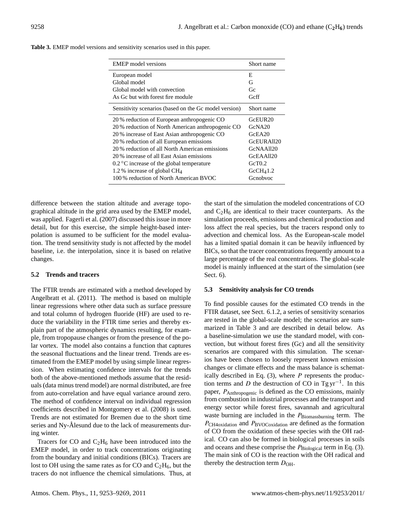| <b>EMEP</b> model versions                            | Short name            |
|-------------------------------------------------------|-----------------------|
| European model                                        | E                     |
| Global model                                          | G                     |
| Global model with convection                          | Gc.                   |
| As Gc but with forest fire module                     | Geff                  |
| Sensitivity scenarios (based on the Gc model version) | Short name            |
| 20% reduction of European anthropogenic CO            | GeEUR <sub>20</sub>   |
| 20% reduction of North American anthropogenic CO      | GcNA <sub>20</sub>    |
| 20% increase of East Asian anthropogenic CO           | GcEA20                |
| 20% reduction of all European emissions               | GcEURAll20            |
| 20% reduction of all North American emissions         | GcNAAll20             |
| 20 % increase of all East Asian emissions             | GcEAAll20             |
| $0.2^{\circ}$ C increase of the global temperature    | GcT0.2                |
| 1.2 % increase of global $CH4$                        | GcCH <sub>4</sub> 1.2 |
| 100% reduction of North American BVOC                 | Genobvoe              |

**Table 3.** EMEP model versions and sensitivity scenarios used in this paper.

difference between the station altitude and average topographical altitude in the grid area used by the EMEP model, was applied. Fagerli et al. (2007) discussed this issue in more detail, but for this exercise, the simple height-based interpolation is assumed to be sufficient for the model evaluation. The trend sensitivity study is not affected by the model baseline, i.e. the interpolation, since it is based on relative changes.

## **5.2 Trends and tracers**

The FTIR trends are estimated with a method developed by Angelbratt et al. (2011). The method is based on multiple linear regressions where other data such as surface pressure and total column of hydrogen fluoride (HF) are used to reduce the variability in the FTIR time series and thereby explain part of the atmospheric dynamics resulting, for example, from tropopause changes or from the presence of the polar vortex. The model also contains a function that captures the seasonal fluctuations and the linear trend. Trends are estimated from the EMEP model by using simple linear regression. When estimating confidence intervals for the trends both of the above-mentioned methods assume that the residuals (data minus trend model) are normal distributed, are free from auto-correlation and have equal variance around zero. The method of confidence interval on individual regression coefficients described in Montgomery et al. (2008) is used. Trends are not estimated for Bremen due to the short time series and Ny-Ålesund due to the lack of measurements during winter.

Tracers for CO and  $C_2H_6$  have been introduced into the EMEP model, in order to track concentrations originating from the boundary and initial conditions (BICs). Tracers are lost to OH using the same rates as for CO and  $C_2H_6$ , but the tracers do not influence the chemical simulations. Thus, at the start of the simulation the modeled concentrations of CO and  $C_2H_6$  are identical to their tracer counterparts. As the simulation proceeds, emissions and chemical production and loss affect the real species, but the tracers respond only to advection and chemical loss. As the European-scale model has a limited spatial domain it can be heavily influenced by BICs, so that the tracer concentrations frequently amount to a large percentage of the real concentrations. The global-scale model is mainly influenced at the start of the simulation (see Sect. [6\)](#page-8-0).

## **5.3 Sensitivity analysis for CO trends**

To find possible causes for the estimated CO trends in the FTIR dataset, see Sect. [6.1.2,](#page-8-1) a series of sensitivity scenarios are tested in the global-scale model; the scenarios are summarized in Table 3 and are described in detail below. As a baseline-simulation we use the standard model, with convection, but without forest fires (Gc) and all the sensitivity scenarios are compared with this simulation. The scenarios have been chosen to loosely represent known emission changes or climate effects and the mass balance is schematically described in Eq.  $(3)$ , where P represents the production terms and D the destruction of CO in Tg yr<sup>-1</sup>. In this paper, PAnthropogenic is defined as the CO emissions, mainly from combustion in industrial processes and the transport and energy sector while forest fires, savannah and agricultural waste burning are included in the  $P_{\text{Biomassburning}}$  term. The PCH<sub>4</sub>oxidation and P<sub>BVOCoxidation</sub> are defined as the formation of CO from the oxidation of these species with the OH radical. CO can also be formed in biological processes in soils and oceans and these comprise the  $P_{\text{Biological}}$  term in Eq. (3). The main sink of CO is the reaction with the OH radical and thereby the destruction term  $D_{OH}$ .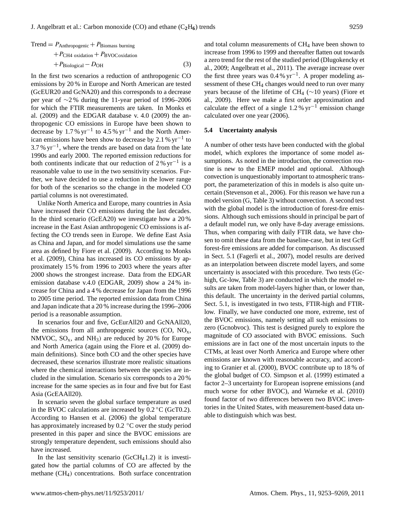$$
+ PCH4 oxidation + PBVOCoxidation
$$
  
+ 
$$
PBiological - DOH
$$
 (3)

In the first two scenarios a reduction of anthropogenic CO emissions by 20 % in Europe and North American are tested (GcEUR20 and GcNA20) and this corresponds to a decrease per year of ∼2 % during the 11-year period of 1996–2006 for which the FTIR measurements are taken. In Monks et al. (2009) and the EDGAR database v. 4.0 (2009) the anthropogenic CO emissions in Europe have been shown to decrease by 1.7%  $yr^{-1}$  to 4.5%  $yr^{-1}$  and the North American emissions have been show to decrease by 2.1 %  $yr^{-1}$  to 3.7 %  $yr^{-1}$ , where the trends are based on data from the late 1990s and early 2000. The reported emission reductions for both continents indicate that our reduction of 2%  $yr^{-1}$  is a reasonable value to use in the two sensitivity scenarios. Further, we have decided to use a reduction in the lower range for both of the scenarios so the change in the modeled CO partial columns is not overestimated.

Unlike North America and Europe, many countries in Asia have increased their CO emissions during the last decades. In the third scenario (GcEA20) we investigate how a 20 % increase in the East Asian anthropogenic CO emissions is affecting the CO trends seen in Europe. We define East Asia as China and Japan, and for model simulations use the same area as defined by Fiore et al. (2009). According to Monks et al. (2009), China has increased its CO emissions by approximately 15 % from 1996 to 2003 where the years after 2000 shows the strongest increase. Data from the EDGAR emission database v.4.0 (EDGAR, 2009) show a 24 % increase for China and a 4 % decrease for Japan from the 1996 to 2005 time period. The reported emission data from China and Japan indicate that a 20 % increase during the 1996–2006 period is a reasonable assumption.

In scenarios four and five, GcEurAll20 and GcNAAll20, the emissions from all anthropogenic sources  $(CO, NO<sub>x</sub>,$ NMVOC,  $SO_x$ , and NH<sub>3</sub>) are reduced by 20% for Europe and North America (again using the Fiore et al. (2009) domain definitions). Since both CO and the other species have decreased, these scenarios illustrate more realistic situations where the chemical interactions between the species are included in the simulation. Scenario six corresponds to a 20 % increase for the same species as in four and five but for East Asia (GcEAAll20).

In scenario seven the global surface temperature as used in the BVOC calculations are increased by  $0.2 \degree$ C (GcT0.2). According to Hansen et al. (2006) the global temperature has approximately increased by 0.2 ◦C over the study period presented in this paper and since the BVOC emissions are strongly temperature dependent, such emissions should also have increased.

In the last sensitivity scenario  $(GcCH<sub>4</sub>1.2)$  it is investigated how the partial columns of CO are affected by the methane (CH4) concentrations. Both surface concentration and total column measurements of  $CH<sub>4</sub>$  have been shown to increase from 1996 to 1999 and thereafter flatten out towards a zero trend for the rest of the studied period (Dlugokencky et al., 2009; Angelbratt et al., 2011). The average increase over the first three years was  $0.4\%$  yr<sup>-1</sup>. A proper modeling assessment of these CH<sub>4</sub> changes would need to run over many years because of the lifetime of CH<sup>4</sup> (∼10 years) (Fiore et al., 2009). Here we make a first order approximation and calculate the effect of a single 1.2%  $yr^{-1}$  emission change calculated over one year (2006).

## **5.4 Uncertainty analysis**

A number of other tests have been conducted with the global model, which explores the importance of some model assumptions. As noted in the introduction, the convection routine is new to the EMEP model and optional. Although convection is unquestionably important to atmospheric transport, the parameterization of this in models is also quite uncertain (Stevenson et al., 2006). For this reason we have run a model version (G, Table 3) without convection. A second test with the global model is the introduction of forest-fire emissions. Although such emissions should in principal be part of a default model run, we only have 8-day average emissions. Thus, when comparing with daily FTIR data, we have chosen to omit these data from the baseline-case, but in test Gcff forest-fire emissions are added for comparison. As discussed in Sect. 5.1 (Fagerli et al., 2007), model results are derived as an interpolation between discrete model layers, and some uncertainty is associated with this procedure. Two tests (Gchigh, Gc-low, Table 3) are conducted in which the model results are taken from model-layers higher than, or lower than, this default. The uncertainty in the derived partial columns, Sect. [5.1,](#page-4-0) is investigated in two tests, FTIR-high and FTIRlow. Finally, we have conducted one more, extreme, test of the BVOC emissions, namely setting all such emissions to zero (Gcnobvoc). This test is designed purely to explore the magnitude of CO associated with BVOC emissions. Such emissions are in fact one of the most uncertain inputs to the CTMs, at least over North America and Europe where other emissions are known with reasonable accuracy, and according to Granier et al. (2000), BVOC contribute up to 18 % of the global budget of CO. Simpson et al. (1999) estimated a factor 2–3 uncertainty for European isoprene emissions (and much worse for other BVOC), and Warneke et al. (2010) found factor of two differences between two BVOC inventories in the United States, with measurement-based data unable to distinguish which was best.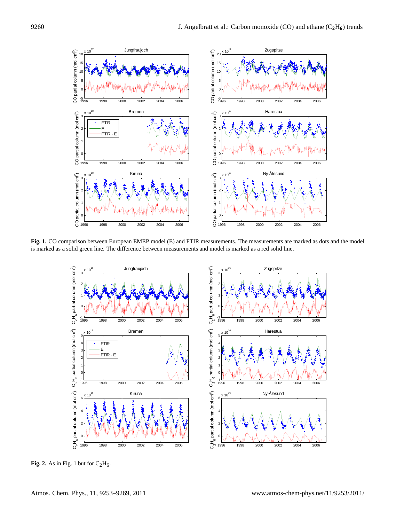

Fig. 1. CO comparison between European EMEP model (E) and FTIR measurements. The measurements are marked as dots and the model is marked as a solid green line. The difference between measurements and model is marked as a red solid line.



Fig. 2. As in Fig. 1 but for  $C_2H_6$ .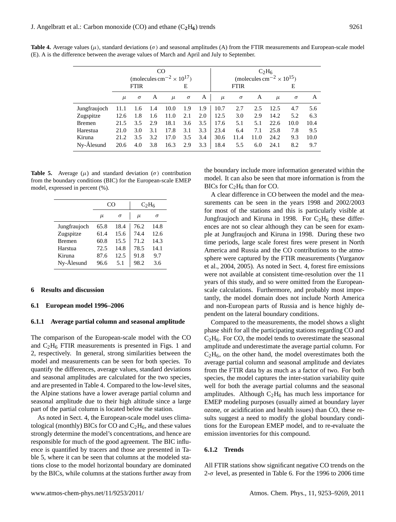|               | CO    |             |     |                                                                      |          | $C_2H_6$ |                                              |             |      |       |          |      |
|---------------|-------|-------------|-----|----------------------------------------------------------------------|----------|----------|----------------------------------------------|-------------|------|-------|----------|------|
|               |       |             |     | (molecules cm <sup><math>-2</math></sup> $\times$ 10 <sup>17</sup> ) |          |          | (molecules $\text{cm}^{-2} \times 10^{15}$ ) |             |      |       |          |      |
|               |       | <b>FTIR</b> |     |                                                                      | Е        |          |                                              | <b>FTIR</b> |      |       | E        |      |
|               | $\mu$ | $\sigma$    | A   | $\mu$                                                                | $\sigma$ | A        | $\mu$                                        | $\sigma$    | A    | $\mu$ | $\sigma$ | A    |
| Jungfraujoch  | 11.1  | 1.6         | 1.4 | 10.0                                                                 | 1.9      | 1.9      | 10.7                                         | 2.7         | 2.5  | 12.5  | 4.7      | 5.6  |
| Zugspitze     | 12.6  | 1.8         | 1.6 | 11.0                                                                 | 2.1      | 2.0      | 12.5                                         | 3.0         | 2.9  | 14.2  | 5.2      | 6.3  |
| <b>Bremen</b> | 21.5  | 3.5         | 2.9 | 18.1                                                                 | 3.6      | 3.5      | 17.6                                         | 5.1         | 5.1  | 22.6  | 10.0     | 10.4 |
| Harestua      | 21.0  | 3.0         | 3.1 | 17.8                                                                 | 3.1      | 3.3      | 23.4                                         | 6.4         | 7.1  | 25.8  | 7.8      | 9.5  |
| Kiruna        | 21.2  | 3.5         | 3.2 | 17.0                                                                 | 3.5      | 3.4      | 30.6                                         | 11.4        | 11.0 | 24.2  | 9.3      | 10.0 |
| Ny-Ålesund    | 20.6  | 4.0         | 3.8 | 16.3                                                                 | 2.9      | 3.3      | 18.4                                         | 5.5         | 6.0  | 24.1  | 8.2      | 9.7  |

**Table 4.** Average values  $(\mu)$ , standard deviations  $(\sigma)$  and seasonal amplitudes (A) from the FTIR measurements and European-scale model (E). A is the difference between the average values of March and April and July to September.

**Table 5.** Average  $(\mu)$  and standard deviation  $(\sigma)$  contribution from the boundary conditions (BIC) for the European-scale EMEP model, expressed in percent (%).

|               | ററ    |      | $C_2H_6$ |          |  |
|---------------|-------|------|----------|----------|--|
|               | $\mu$ | σ    | $\mu$    | $\sigma$ |  |
| Jungfraujoch  | 65.8  | 18.4 | 76.2     | 14.8     |  |
| Zugspitze     | 61.4  | 15.6 | 74.4     | 12.6     |  |
| <b>Bremen</b> | 60.8  | 15.5 | 71.2     | 14.3     |  |
| Harstua       | 72.5  | 14.8 | 78.5     | 14.1     |  |
| Kiruna        | 87.6  | 12.5 | 91.8     | 9.7      |  |
| Ny-Ålesund    | 96.6  | 5.1  | 98.2     | 3.6      |  |

# <span id="page-8-0"></span>**6 Results and discussion**

## **6.1 European model 1996–2006**

## **6.1.1 Average partial column and seasonal amplitude**

The comparison of the European-scale model with the CO and  $C_2H_6$  FTIR measurements is presented in Figs. 1 and 2, respectively. In general, strong similarities between the model and measurements can be seen for both species. To quantify the differences, average values, standard deviations and seasonal amplitudes are calculated for the two species, and are presented in Table 4. Compared to the low-level sites, the Alpine stations have a lower average partial column and seasonal amplitude due to their high altitude since a large part of the partial column is located below the station.

As noted in Sect. [4,](#page-3-0) the European-scale model uses climatological (monthly) BICs for CO and  $C_2H_6$ , and these values strongly determine the model's concentrations, and hence are responsible for much of the good agreement. The BIC influence is quantified by tracers and those are presented in Table 5, where it can be seen that columns at the modeled stations close to the model horizontal boundary are dominated by the BICs, while columns at the stations further away from the boundary include more information generated within the model. It can also be seen that more information is from the BICs for  $C_2H_6$  than for CO.

A clear difference in CO between the model and the measurements can be seen in the years 1998 and 2002/2003 for most of the stations and this is particularly visible at Jungfraujoch and Kiruna in 1998. For  $C_2H_6$  these differences are not so clear although they can be seen for example at Jungfraujoch and Kiruna in 1998. During these two time periods, large scale forest fires were present in North America and Russia and the CO contributions to the atmosphere were captured by the FTIR measurements (Yurganov et al., 2004, 2005). As noted in Sect. [4,](#page-3-0) forest fire emissions were not available at consistent time-resolution over the 11 years of this study, and so were omitted from the Europeanscale calculations. Furthermore, and probably most importantly, the model domain does not include North America and non-European parts of Russia and is hence highly dependent on the lateral boundary conditions.

Compared to the measurements, the model shows a slight phase shift for all the participating stations regarding CO and  $C_2H_6$ . For CO, the model tends to overestimate the seasonal amplitude and underestimate the average partial column. For  $C_2H_6$ , on the other hand, the model overestimates both the average partial column and seasonal amplitude and deviates from the FTIR data by as much as a factor of two. For both species, the model captures the inter-station variability quite well for both the average partial columns and the seasonal amplitudes. Although  $C_2H_6$  has much less importance for EMEP modeling purposes (usually aimed at boundary layer ozone, or acidification and health issues) than CO, these results suggest a need to modify the global boundary conditions for the European EMEP model, and to re-evaluate the emission inventories for this compound.

# <span id="page-8-1"></span>**6.1.2 Trends**

All FTIR stations show significant negative CO trends on the 2- $\sigma$  level, as presented in Table 6. For the 1996 to 2006 time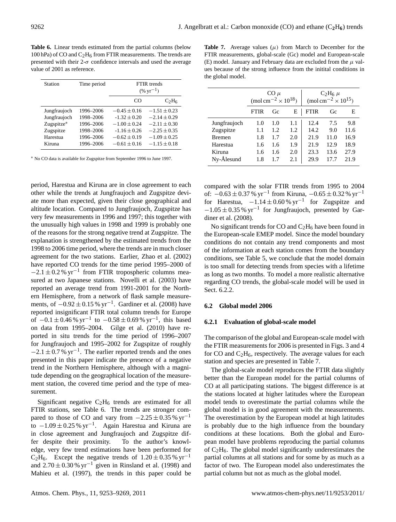**Table 6.** Linear trends estimated from the partial columns (below 100 hPa) of CO and  $C_2H_6$  from FTIR measurements. The trends are presented with their  $2-\sigma$  confidence intervals and used the average value of 2001 as reference.

| <b>Station</b> | Time period | <b>FTIR</b> trends<br>$(\% \text{ yr}^{-1})$ |                  |  |
|----------------|-------------|----------------------------------------------|------------------|--|
|                |             | CO                                           | $C_2H_6$         |  |
| Jungfraujoch   | 1996-2006   | $-0.45 \pm 0.16$                             | $-1.51 \pm 0.23$ |  |
| Jungfraujoch   | 1998-2006   | $-1.32 \pm 0.20$                             | $-2.14 \pm 0.29$ |  |
| Zugspitze*     | 1996-2006   | $-1.00 \pm 0.24$                             | $-2.11 \pm 0.30$ |  |
| Zugspitze      | 1998-2006   | $-1.16 \pm 0.26$                             | $-2.25 \pm 0.35$ |  |
| Harestua       | 1996-2006   | $-0.62 \pm 0.19$                             | $-1.09 \pm 0.25$ |  |
| Kiruna         | 1996-2006   | $-0.61 \pm 0.16$                             | $-1.15 \pm 0.18$ |  |

<sup>∗</sup> No CO data is available for Zugspitze from September 1996 to June 1997.

period, Harestua and Kiruna are in close agreement to each other while the trends at Jungfraujoch and Zugspitze deviate more than expected, given their close geographical and altitude location. Compared to Jungfraujoch, Zugspitze has very few measurements in 1996 and 1997; this together with the unusually high values in 1998 and 1999 is probably one of the reasons for the strong negative trend at Zugspitze. The explanation is strengthened by the estimated trends from the 1998 to 2006 time period, where the trends are in much closer agreement for the two stations. Earlier, Zhao et al. (2002) have reported CO trends for the time period 1995–2000 of  $-2.1 \pm 0.2$ % yr<sup>-1</sup> from FTIR tropospheric columns measured at two Japanese stations. Novelli et al. (2003) have reported an average trend from 1991-2001 for the Northern Hemisphere, from a network of flask sample measurements, of  $-0.92 \pm 0.15$  % yr<sup>-1</sup>. Gardiner et al. (2008) have reported insignificant FTIR total column trends for Europe of  $-0.1 \pm 0.46$ % yr<sup>-1</sup> to  $-0.58 \pm 0.69$ % yr<sup>-1</sup>, this based on data from 1995–2004. Gilge et al. (2010) have reported in situ trends for the time period of 1996–2007 for Jungfraujoch and 1995–2002 for Zugspitze of roughly  $-2.1 \pm 0.7$ % yr<sup>-1</sup>. The earlier reported trends and the ones presented in this paper indicate the presence of a negative trend in the Northern Hemisphere, although with a magnitude depending on the geographical location of the measurement station, the covered time period and the type of measurement.

Significant negative  $C_2H_6$  trends are estimated for all FTIR stations, see Table 6. The trends are stronger compared to those of CO and vary from  $-2.25 \pm 0.35$  % yr<sup>-1</sup> to  $-1.09 \pm 0.25$ % yr<sup>-1</sup>. Again Harestua and Kiruna are in close agreement and Jungfraujoch and Zugspitze differ despite their proximity. To the author's knowledge, very few trend estimations have been performed for C<sub>2</sub>H<sub>6</sub>. Except the negative trends of 1.20  $\pm$  0.35 % yr<sup>-1</sup> and  $2.70 \pm 0.30$  % yr<sup>-1</sup> given in Rinsland et al. (1998) and Mahieu et al. (1997), the trends in this paper could be

**Table 7.** Average values  $(\mu)$  from March to December for the FTIR measurements, global-scale (Gc) model and European-scale (E) model. January and February data are excluded from the  $\mu$  values because of the strong influence from the initital conditions in the global model.

|               | (mol cm <sup><math>-2</math></sup> $\times$ 10 <sup>18</sup> ) | $CO \mu$ |     |      | $C_2H_6\mu$<br>(mol cm <sup>-2</sup> $\times$ 10 <sup>15</sup> ) |      |
|---------------|----------------------------------------------------------------|----------|-----|------|------------------------------------------------------------------|------|
|               | <b>FTIR</b>                                                    | Gc       | E   | FTIR | Gc                                                               | Е    |
| Jungfraujoch  | 1.0                                                            | 1.0      | 1.1 | 12.4 | 7.5                                                              | 9.8  |
| Zugspitze     | 1.1                                                            | 1.2      | 1.2 | 14.2 | 9.0                                                              | 11.6 |
| <b>Bremen</b> | 1.8                                                            | 1.7      | 2.0 | 21.9 | 11.0                                                             | 16.9 |
| Harestua      | 1.6                                                            | 1.6      | 1.9 | 21.9 | 12.9                                                             | 18.9 |
| Kiruna        | 1.6                                                            | 1.6      | 2.0 | 23.3 | 13.6                                                             | 27.9 |
| Ny-Ålesund    | 1.8                                                            | 1.7      | 2.1 | 29.9 | 17.7                                                             | 21.9 |

compared with the solar FTIR trends from 1995 to 2004 of:  $-0.63 \pm 0.37$  % yr<sup>-1</sup> from Kiruna,  $-0.65 \pm 0.32$  % yr<sup>-1</sup> for Harestua,  $-1.14 \pm 0.60$  % yr<sup>-1</sup> for Zugspitze and  $-1.05 \pm 0.35$ % yr<sup>-1</sup> for Jungfraujoch, presented by Gardiner et al. (2008).

No significant trends for CO and  $C_2H_6$  have been found in the European-scale EMEP model. Since the model boundary conditions do not contain any trend components and most of the information at each station comes from the boundary conditions, see Table 5, we conclude that the model domain is too small for detecting trends from species with a lifetime as long as two months. To model a more realistic alternative regarding CO trends, the global-scale model will be used in Sect. 6.2.2.

## **6.2 Global model 2006**

## **6.2.1 Evaluation of global-scale model**

The comparison of the global and European-scale model with the FTIR measurements for 2006 is presented in Figs. 3 and 4 for CO and  $C_2H_6$ , respectively. The average values for each station and species are presented in Table 7.

The global-scale model reproduces the FTIR data slightly better than the European model for the partial columns of CO at all participating stations. The biggest difference is at the stations located at higher latitudes where the European model tends to overestimate the partial columns while the global model is in good agreement with the measurements. The overestimation by the European model at high latitudes is probably due to the high influence from the boundary conditions at these locations. Both the global and European model have problems reproducing the partial columns of  $C_2H_6$ . The global model significantly underestimates the partial columns at all stations and for some by as much as a factor of two. The European model also underestimates the partial column but not as much as the global model.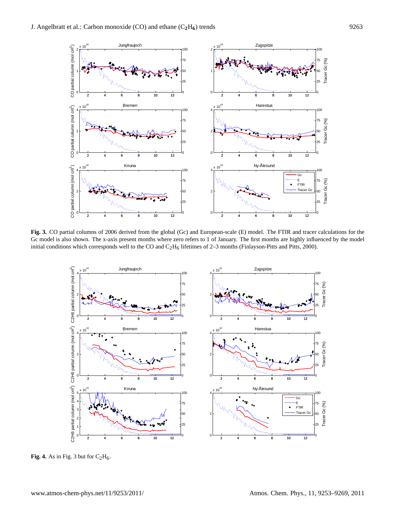

Fig. 3. CO partial columns of 2006 derived from the global (Gc) and European-scale (E) model. The FTIR and tracer calculations for the initial conditions which corresponds well to the CO and  $C_2H_6$  lifetimes of 2–3 months (Finlayson-Pitts and Pitts, 2000). Gc model is also shown. The x-axis present months where zero refers to 1 of January. The first months are highly influenced by the model



**Fig. 4.** As in Fig. 3 but for  $C_2H_6$ .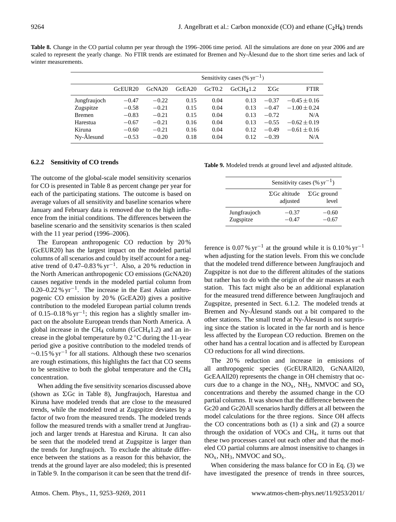**Table 8.** Change in the CO partial column per year through the 1996–2006 time period. All the simulations are done on year 2006 and are scaled to represent the yearly change. No FTIR trends are estimated for Bremen and Ny-Ålesund due to the short time series and lack of winter measurements.

|               | Sensitivity cases $(\% \text{ yr}^{-1})$ |                    |        |        |                       |             |                  |  |
|---------------|------------------------------------------|--------------------|--------|--------|-----------------------|-------------|------------------|--|
|               | GeEUR <sub>20</sub>                      | GcNA <sub>20</sub> | GcEA20 | GcT0.2 | GcCH <sub>4</sub> 1.2 | $\Sigma Gc$ | <b>FTIR</b>      |  |
| Jungfraujoch  | $-0.47$                                  | $-0.22$            | 0.15   | 0.04   | 0.13                  | $-0.37$     | $-0.45 \pm 0.16$ |  |
| Zugspitze     | $-0.58$                                  | $-0.21$            | 0.15   | 0.04   | 0.13                  | $-0.47$     | $-1.00 \pm 0.24$ |  |
| <b>Bremen</b> | $-0.83$                                  | $-0.21$            | 0.15   | 0.04   | 0.13                  | $-0.72$     | N/A              |  |
| Harestua      | $-0.67$                                  | $-0.21$            | 0.16   | 0.04   | 0.13                  | $-0.55$     | $-0.62 \pm 0.19$ |  |
| Kiruna        | $-0.60$                                  | $-0.21$            | 0.16   | 0.04   | 0.12                  | $-0.49$     | $-0.61 \pm 0.16$ |  |
| Ny-Ålesund    | $-0.53$                                  | $-0.20$            | 0.18   | 0.04   | 0.12                  | $-0.39$     | N/A              |  |

## **6.2.2 Sensitivity of CO trends**

The outcome of the global-scale model sensitivity scenarios for CO is presented in Table 8 as percent change per year for each of the participating stations. The outcome is based on average values of all sensitivity and baseline scenarios where January and February data is removed due to the high influence from the initial conditions. The differences between the baseline scenario and the sensitivity scenarios is then scaled with the 11 year period (1996–2006).

The European anthropogenic CO reduction by 20 % (GcEUR20) has the largest impact on the modeled partial columns of all scenarios and could by itself account for a negative trend of 0.47–0.83 %  $yr^{-1}$ . Also, a 20 % reduction in the North American anthropogenic CO emissions (GcNA20) causes negative trends in the modeled partial column from 0.20–0.22 %  $yr^{-1}$ . The increase in the East Asian anthropogenic CO emission by 20 % (GcEA20) gives a positive contribution to the modeled European partial column trends of 0.15–0.18 % yr−<sup>1</sup> ; this region has a slightly smaller impact on the absolute European trends than North America. A global increase in the CH<sub>4</sub> column (GcCH<sub>4</sub>1.2) and an increase in the global temperature by 0.2 ◦C during the 11-year period give a positive contribution to the modeled trends of  $\sim$ 0.15 % yr<sup>-1</sup> for all stations. Although these two scenarios are rough estimations, this highlights the fact that CO seems to be sensitive to both the global temperature and the CH<sup>4</sup> concentration.

When adding the five sensitivity scenarios discussed above (shown as  $\Sigma Gc$  in Table 8), Jungfraujoch, Harestua and Kiruna have modeled trends that are close to the measured trends, while the modeled trend at Zugspitze deviates by a factor of two from the measured trends. The modeled trends follow the measured trends with a smaller trend at Jungfraujoch and larger trends at Harestua and Kiruna. It can also be seen that the modeled trend at Zugspitze is larger than the trends for Jungfraujoch. To exclude the altitude difference between the stations as a reason for this behavior, the trends at the ground layer are also modeled; this is presented in Table 9. In the comparison it can be seen that the trend dif-

**Table 9.** Modeled trends at ground level and adjusted altitude.

|                           | Sensitivity cases (% $yr^{-1}$ ) |                             |  |  |  |  |
|---------------------------|----------------------------------|-----------------------------|--|--|--|--|
|                           | $\Sigma$ Gc altitude<br>adjusted | $\Sigma$ Gc ground<br>level |  |  |  |  |
| Jungfraujoch<br>Zugspitze | $-0.37$<br>$-0.47$               | $-0.60$<br>$-0.67$          |  |  |  |  |

ference is 0.07%  $yr^{-1}$  at the ground while it is 0.10%  $yr^{-1}$ when adjusting for the station levels. From this we conclude that the modeled trend difference between Jungfraujoch and Zugspitze is not due to the different altitudes of the stations but rather has to do with the origin of the air masses at each station. This fact might also be an additional explanation for the measured trend difference between Jungfraujoch and Zugspitze, presented in Sect. 6.1.2. The modeled trends at Bremen and Ny-Ålesund stands out a bit compared to the other stations. The small trend at Ny-Ålesund is not surprising since the station is located in the far north and is hence less affected by the European CO reduction. Bremen on the other hand has a central location and is affected by European CO reductions for all wind directions.

The 20 % reduction and increase in emissions of all anthropogenic species (GcEURAll20, GcNAAll20, GcEAAll20) represents the change in OH chemistry that occurs due to a change in the  $NO<sub>x</sub>$ , NH<sub>3</sub>, NMVOC and  $SO<sub>x</sub>$ concentrations and thereby the assumed change in the CO partial columns. It was shown that the difference between the Gc20 and Gc20All scenarios hardly differs at all between the model calculations for the three regions. Since OH affects the CO concentrations both as (1) a sink and (2) a source through the oxidation of VOCs and CH4, it turns out that these two processes cancel out each other and that the modeled CO partial columns are almost insensitive to changes in  $NO<sub>x</sub>$ , NH<sub>3</sub>, NMVOC and SO<sub>x</sub>.

When considering the mass balance for CO in Eq. (3) we have investigated the presence of trends in three sources,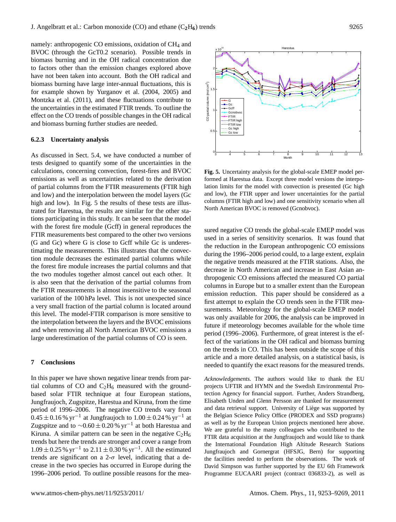namely: anthropogenic CO emissions, oxidation of CH<sub>4</sub> and BVOC (through the GcT0.2 scenario). Possible trends in biomass burning and in the OH radical concentration due to factors other than the emission changes explored above have not been taken into account. Both the OH radical and biomass burning have large inter-annual fluctuations, this is for example shown by Yurganov et al. (2004, 2005) and Montzka et al. (2011), and these fluctuations contribute to the uncertainties in the estimated FTIR trends. To outline the effect on the CO trends of possible changes in the OH radical and biomass burning further studies are needed.

## **6.2.3 Uncertainty analysis**

As discussed in Sect. 5.4, we have conducted a number of tests designed to quantify some of the uncertainties in the calculations, concerning convection, forest-fires and BVOC emissions as well as uncertainties related to the derivation of partial columns from the FTIR measurements (FTIR high and low) and the interpolation between the model layers (Gc high and low). In Fig. 5 the results of these tests are illustrated for Harestua, the results are similar for the other stations participating in this study. It can be seen that the model with the forest fire module (Gcff) in general reproduces the FTIR measurements best compared to the other two versions (G and Gc) where G is close to Gcff while Gc is underestimating the measurements. This illustrates that the convection module decreases the estimated partial columns while the forest fire module increases the partial columns and that the two modules together almost cancel out each other. It is also seen that the derivation of the partial columns from the FTIR measurements is almost insensitive to the seasonal variation of the 100 hPa level. This is not unexpected since a very small fraction of the partial column is located around this level. The model-FTIR comparison is more sensitive to the interpolation between the layers and the BVOC emissions and when removing all North American BVOC emissions a large underestimation of the partial columns of CO is seen.

## **7 Conclusions**

In this paper we have shown negative linear trends from partial columns of CO and  $C_2H_6$  measured with the groundbased solar FTIR technique at four European stations, Jungfraujoch, Zugspitze, Harestua and Kiruna, from the time period of 1996–2006. The negative CO trends vary from  $0.45 \pm 0.16\% \text{ yr}^{-1}$  at Jungfraujoch to  $1.00 \pm 0.24\% \text{ yr}^{-1}$  at Zugspitze and to  $\sim 0.60 \pm 0.20$ % yr<sup>-1</sup> at both Harestua and Kiruna. A similar pattern can be seen in the negative  $C_2H_6$ trends but here the trends are stronger and cover a range from 1.09 ± 0.25 % yr<sup>-1</sup> to 2.11 ± 0.30 % yr<sup>-1</sup>. All the estimated trends are significant on a 2- $\sigma$  level, indicating that a decrease in the two species has occurred in Europe during the 1996–2006 period. To outline possible reasons for the mea-



Fig. 5. Uncertainty analysis for the global-scale EMEP model performed at Harestua data. Except three model versions the interpolation limits for the model with convection is presented (Gc high and low), the FTIR upper and lower uncertainties for the partial columns (FTIR high and low) and one sensitivity scenario when all North American BVOC is removed (Gcnobvoc).

sured negative CO trends the global-scale EMEP model was used in a series of sensitivity scenarios. It was found that the reduction in the European anthropogenic CO emissions during the 1996–2006 period could, to a large extent, explain the negative trends measured at the FTIR stations. Also, the decrease in North American and increase in East Asian anthropogenic CO emissions affected the measured CO partial columns in Europe but to a smaller extent than the European emission reduction. This paper should be considered as a first attempt to explain the CO trends seen in the FTIR measurements. Meteorology for the global-scale EMEP model was only available for 2006, the analysis can be improved in future if meteorology becomes available for the whole time period (1996–2006). Furthermore, of great interest is the effect of the variations in the OH radical and biomass burning on the trends in CO. This has been outside the scope of this article and a more detailed analysis, on a statistical basis, is needed to quantify the exact reasons for the measured trends.

*Acknowledgements.* The authors would like to thank the EU projects UFTIR and HYMN and the Swedish Environmental Protection Agency for financial support. Further, Anders Strandberg, Elisabeth Unden and Glenn Persson are thanked for measurement and data retrieval support. University of Liege was supported by ` the Belgian Science Policy Office (PRODEX and SSD programs) as well as by the European Union projects mentioned here above. We are grateful to the many colleagues who contributed to the FTIR data acquisition at the Jungfraujoch and would like to thank the International Foundation High Altitude Research Stations Jungfraujoch and Gornergrat (HFSJG, Bern) for supporting the facilities needed to perform the observations. The work of David Simpson was further supported by the EU 6th Framework Programme EUCAARI project (contract 036833-2), as well as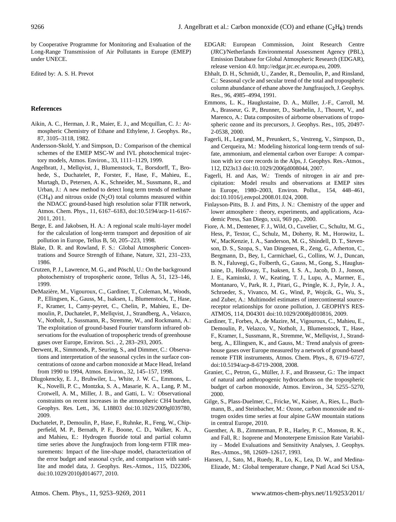by Cooperative Programme for Monitoring and Evaluation of the Long-Range Transmission of Air Pollutants in Europe (EMEP) under UNECE.

Edited by: A. S. H. Prevot

# **References**

- Aikin, A. C., Herman, J. R., Maier, E. J., and Mcquillan, C. J.: Atmospheric Chemistry of Ethane and Ethylene, J. Geophys. Re., 87, 3105–3118, 1982.
- Andersson-Skold, Y. and Simpson, D.: Comparison of the chemical schemes of the EMEP MSC-W and IVL photochemical trajectory models, Atmos. Environ., 33, 1111–1129, 1999.
- Angelbratt, J., Mellqvist, J., Blumenstock, T., Borsdorff, T., Brohede, S., Duchatelet, P., Forster, F., Hase, F., Mahieu, E., Murtagh, D., Petersen, A. K., Schneider, M., Sussmann, R., and Urban, J.: A new method to detect long term trends of methane  $(CH<sub>4</sub>)$  and nitrous oxide (N<sub>2</sub>O) total columns measured within the NDACC ground-based high resolution solar FTIR network, Atmos. Chem. Phys., 11, 6167–6183, [doi:10.5194/acp-11-6167-](http://dx.doi.org/10.5194/acp-11-6167-2011) [2011,](http://dx.doi.org/10.5194/acp-11-6167-2011) 2011.
- Berge, E. and Jakobsen, H. A.: A regional scale multi-layer model for the calculation of long-term transport and deposition of air pollution in Europe, Tellus B, 50, 205–223, 1998.
- Blake, D. R. and Rowland, F. S.: Global Atmospheric Concentrations and Source Strength of Ethane, Nature, 321, 231–233, 1986.
- Crutzen, P. J., Lawrence, M. G., and Pöschl, U.: On the background photochemistry of tropospheric ozone, Tellus A, 51, 123–146, 1999.
- DeMaziere, M., Vigouroux, C., Gardiner, T., Coleman, M., Woods, ` P., Ellingsen, K., Gauss, M., Isaksen, I., Blumenstock, T., Hase, F., Kramer, I., Camy-peyret, C., Chelin, P., Mahieu, E., Demoulin, P., Duchatelet, P., Mellqvist, J., Strandberg, A., Velazco, V., Notholt, J., Sussmann, R., Stremme, W., and Rockmann, A.: The exploitation of ground-based Fourier transform infrared observations for the evaluation of tropospheric trends of greenhouse gases over Europe, Environ. Sci. , 2, 283–293, 2005.
- Derwent, R., Simmonds, P., Seuring, S., and Dimmer, C.: Observations and interpretation of the seasonal cycles in the surface concentrations of ozone and carbon monoxide at Mace Head, Ireland from 1990 to 1994, Atmos. Environ., 32, 145–157, 1998.
- Dlugokencky, E. J., Bruhwiler, L., White, J. W. C., Emmons, L. K., Novelli, P. C., Montzka, S. A., Masarie, K. A., Lang, P. M., Crotwell, A. M., Miller, J. B., and Gatti, L. V.: Observational constraints on recent increases in the atmospheric CH4 burden, Geophys. Res. Lett., 36, L18803 [doi:10.1029/2009gl039780,](http://dx.doi.org/10.1029/2009gl039780) 2009.
- Duchatelet, P., Demoulin, P., Hase, F., Ruhnke, R., Feng, W., Chipperfield, M. P., Bernath, P. F., Boone, C. D., Walker, K. A., and Mahieu, E.: Hydrogen fluoride total and partial column time series above the Jungfraujoch from long-term FTIR measurements: Impact of the line-shape model, characterization of the error budget and seasonal cycle, and comparison with satellite and model data, J. Geophys. Res.-Atmos., 115, D22306, [doi:10.1029/2010jd014677,](http://dx.doi.org/10.1029/2010jd014677) 2010.
- EDGAR: European Commission, Joint Research Centre (JRC)/Netherlands Environmental Assessment Agency (PBL), Emission Database for Global Atmospheric Research (EDGAR), release version 4.0. [http://edgar.jrc.ec.europa.eu,](http://edgar.jrc.ec.europa.eu) 2009.
- Ehhalt, D. H., Schmidt, U., Zander, R., Demoulin, P., and Rinsland, C.: Seasonal cycle and secular trend of the total and tropospheric column abundance of ethane above the Jungfraujoch, J. Geophys. Res., 96, 4985–4994, 1991.
- Emmons, L. K., Hauglustaine, D. A., Müller, J.-F., Carroll, M. A., Brasseur, G. P., Brunner, D., Staehelin, J., Thouret, V., and Marenco, A.: Data composites of airborne observations of tropospheric ozone and its precursors, J. Geophys. Res., 105, 20497- 2-0538, 2000.
- Fagerli, H., Legrand, M., Preunkert, S., Vestreng, V., Simpson, D., and Cerqueira, M.: Modeling historical long-term trends of sulfate, ammonium, and elemental carbon over Europe: A comparison with ice core records in the Alps, J. Geophys. Res.-Atmos., 112, D23s13 [doi:10.1029/2006jd008044,](http://dx.doi.org/10.1029/2006jd008044) 2007.
- Fagerli, H. and Aas, W.: Trends of nitrogen in air and precipitation: Model results and observations at EMEP sites in Europe, 1980–2003, Environ. Pollut., 154, 448–461, [doi:10.1016/j.envpol.2008.01.024,](http://dx.doi.org/10.1016/j.envpol.2008.01.024) 2008.
- Finlayson-Pitts, B. J. and Pitts, J. N.: Chemistry of the upper and lower atmosphere : theory, experiments, and applications, Academic Press, San Diego, xxii, 969 pp., 2000.
- Fiore, A. M., Dentener, F. J., Wild, O., Cuvelier, C., Schultz, M. G., Hess, P., Textor, C., Schulz, M., Doherty, R. M., Horowitz, L. W., MacKenzie, I. A., Sanderson, M. G., Shindell, D. T., Stevenson, D. S., Szopa, S., Van Dingenen, R., Zeng, G., Atherton, C., Bergmann, D., Bey, I., Carmichael, G., Collins, W. J., Duncan, B. N., Faluvegi, G., Folberth, G., Gauss, M., Gong, S., Hauglustaine, D., Holloway, T., Isaksen, I. S. A., Jacob, D. J., Jonson, J. E., Kaminski, J. W., Keating, T. J., Lupu, A., Marmer, E., Montanaro, V., Park, R. J., Pitari, G., Pringle, K. J., Pyle, J. A., Schroeder, S., Vivanco, M. G., Wind, P., Wojcik, G., Wu, S., and Zuber, A.: Multimodel estimates of intercontinental sourcereceptor relationships for ozone pollution, J. GEOPHYS RES-ATMOS, 114, D04301 [doi:10.1029/2008jd010816,](http://dx.doi.org/10.1029/2008jd010816) 2009.
- Gardiner, T., Forbes, A., de Mazire, M., Vigouroux, C., Mahieu, E., Demoulin, P., Velazco, V., Notholt, J., Blumenstock, T., Hase, F., Kramer, I., Sussmann, R., Stremme, W., Mellqvist, J., Strandberg, A., Ellingsen, K., and Gauss, M.: Trend analysis of greenhouse gases over Europe measured by a network of ground-based remote FTIR instruments, Atmos. Chem. Phys., 8, 6719–6727, [doi:10.5194/acp-8-6719-2008,](http://dx.doi.org/10.5194/acp-8-6719-2008) 2008.
- Granier, C., Petron, G., Müller, J. F., and Brasseur, G.: The impact of natural and anthropogenic hydrocarbons on the tropospheric budget of carbon monoxide, Atmos. Environ., 34, 5255–5270, 2000.
- Gilge, S., Plass-Duelmer, C., Fricke, W., Kaiser, A., Ries, L., Buchmann, B., and Steinbacher, M.: Ozone, carbon monoxide and nitrogen oxides time series at four alpine GAW mountain stations in central Europe, 2010.
- Guenther, A. B., Zimmerman, P. R., Harley, P. C., Monson, R. K., and Fall, R.: Isoprene and Monoterpene Emission Rate Variability – Model Evaluations and Sensitivity Analyses, J. Geophys. Res.-Atmos., 98, 12609–12617, 1993.
- Hansen, J., Sato, M., Ruedy, R., Lo, K., Lea, D. W., and Medina-Elizade, M.: Global temperature change, P Natl Acad Sci USA,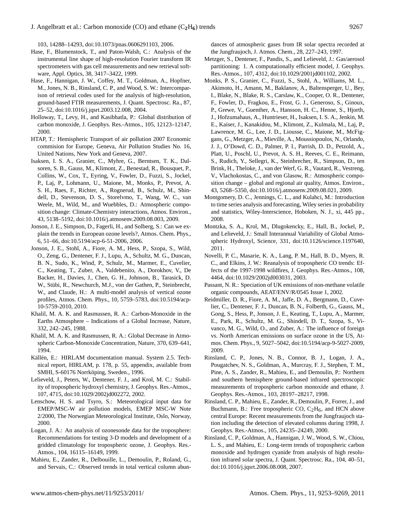103, 14288–14293, [doi:10.1073/pnas.0606291103,](http://dx.doi.org/10.1073/pnas.0606291103) 2006.

- Hase, F., Blumenstock, T., and Paton-Walsh, C.: Analysis of the instrumental line shape of high-resolution Fourier transform IR spectrometers with gas cell measurements and new retrieval software, Appl. Optics, 38, 3417–3422, 1999.
- Hase, F., Hannigan, J. W., Coffey, M. T., Goldman, A., Hopfner, M., Jones, N. B., Rinsland, C. P., and Wood, S. W.: Intercomparison of retrieval codes used for the analysis of high-resolution, ground-based FTIR measurements, J. Quant. Spectrosc. Ra., 87, 25–52, [doi:10.1016/j.jqsrt.2003.12.008,](http://dx.doi.org/10.1016/j.jqsrt.2003.12.008) 2004.
- Holloway, T., Levy, H., and Kasibhatla, P.: Global distribution of carbon monoxide, J. Geophys. Res.-Atmos., 105, 12123–12147, 2000.
- HTAP, T.: Hemispheric Transport of air pollution 2007 Economic commision for Europe, Geneva, Air Pollution Studies No. 16, United Nations, New York and Geneva, 2007.
- Isaksen, I. S. A., Granier, C., Myhre, G., Berntsen, T. K., Dalsoren, S. B., Gauss, M., Klimont, Z., Benestad, R., Bousquet, P., Collins, W., Cox, T., Eyring, V., Fowler, D., Fuzzi, S., Jockel, P., Laj, P., Lohmann, U., Maione, M., Monks, P., Prevot, A. S. H., Raes, F., Richter, A., Rognerud, B., Schulz, M., Shindell, D., Stevenson, D. S., Storelvmo, T., Wang, W. C., van Weele, M., Wild, M., and Wuebbles, D.: Atmospheric composition change: Climate-Chemistry interactions, Atmos. Environ., 43, 5138–5192, [doi:10.1016/j.atmosenv.2009.08.003,](http://dx.doi.org/10.1016/j.atmosenv.2009.08.003) 2009.
- Jonson, J. E., Simpson, D., Fagerli, H., and Solberg, S.: Can we explain the trends in European ozone levels?, Atmos. Chem. Phys., 6, 51–66, [doi:10.5194/acp-6-51-2006,](http://dx.doi.org/10.5194/acp-6-51-2006) 2006.
- Jonson, J. E., Stohl, A., Fiore, A. M., Hess, P., Szopa, S., Wild, O., Zeng, G., Dentener, F. J., Lupu, A., Schultz, M. G., Duncan, B. N., Sudo, K., Wind, P., Schulz, M., Marmer, E., Cuvelier, C., Keating, T., Zuber, A., Valdebenito, A., Dorokhov, V., De Backer, H., Davies, J., Chen, G. H., Johnson, B., Tarasick, D. W., Stübi, R., Newchurch, M.J., von der Gathen, P., Steinbrecht, W., and Claude, H.: A multi-model analysis of vertical ozone profiles, Atmos. Chem. Phys., 10, 5759–5783, [doi:10.5194/acp-](http://dx.doi.org/10.5194/acp-10-5759-2010)[10-5759-2010,](http://dx.doi.org/10.5194/acp-10-5759-2010) 2010.
- Khalil, M. A. K. and Rasmussen, R. A.: Carbon-Monoxide in the Earths Atmosphere – Indications of a Global Increase, Nature, 332, 242–245, 1988.
- Khalil, M. A. K. and Rasmussen, R. A.: Global Decrease in Atmospheric Carbon-Monoxide Concentration, Nature, 370, 639–641, 1994.
- Källén, E.: HIRLAM documentation manual. System 2.5. Technical report, HIRLAM, p. 178, p. 55, appendix, available from SMHI, S-60176 Norrköping, Sweden., 1996.
- Lelieveld, J., Peters, W., Dentener, F. J., and Krol, M. C.: Stability of tropospheric hydroxyl chemistry, J. Geophys. Res.-Atmos., 107, 4715, [doi:10.1029/2002jd002272,](http://dx.doi.org/10.1029/2002jd002272) 2002.
- Lenschow, H. S. and Tsyro, S.: Meteorological input data for EMEP/MSC-W air pollution models, EMEP MSC-W Note 2/2000, The Norwegian Meteorological Institute, Oslo, Norway, 2000.
- Logan, J. A.: An analysis of ozonesonde data for the troposphere: Recommendations for testing 3-D models and development of a gridded climatology for tropospheric ozone, J. Geophys. Res.- Atmos., 104, 16115–16149, 1999.
- Mahieu, E., Zander, R., Delbouille, L., Demoulin, P., Roland, G., and Servais, C.: Observed trends in total vertical column abun-

dances of atmospheric gases from IR solar spectra recorded at the Jungfraujoch, J. Atmos. Chem., 28, 227–243, 1997.

- Metzger, S., Dentener, F., Pandis, S., and Lelieveld, J.: Gas/aerosol partitioning: 1. A computationally efficient model, J. Geophys. Res.-Atmos., 107, 4312, [doi:10.1029/2001jd001102,](http://dx.doi.org/10.1029/2001jd001102) 2002.
- Monks, P. S., Granier, C., Fuzzi, S., Stohl, A., Williams, M. L., Akimoto, H., Amann, M., Baklanov, A., Baltensperger, U., Bey, I., Blake, N., Blake, R. S., Carslaw, K., Cooper, O. R., Dentener, F., Fowler, D., Fragkou, E., Frost, G. J., Generoso, S., Ginoux, P., Grewe, V., Guenther, A., Hansson, H. C., Henne, S., Hjorth, J., Hofzumahaus, A., Huntrieser, H., Isaksen, I. S. A., Jenkin, M. E., Kaiser, J., Kanakidou, M., Klimont, Z., Kulmala, M., Laj, P., Lawrence, M. G., Lee, J. D., Liousse, C., Maione, M., McFiggans, G., Metzger, A., Mieville, A., Moussiopoulos, N., Orlando, J. J., O'Dowd, C. D., Palmer, P. I., Parrish, D. D., Petzold, A., Platt, U., Poschl, U., Prevot, A. S. H., Reeves, C. E., Reimann, S., Rudich, Y., Sellegri, K., Steinbrecher, R., Simpson, D., ten Brink, H., Theloke, J., van der Werf, G. R., Vautard, R., Vestreng, V., Vlachokostas, C., and von Glasow, R.: Atmospheric composition change – global and regional air quality, Atmos. Environ., 43, 5268–5350, [doi:10.1016/j.atmosenv.2009.08.021,](http://dx.doi.org/10.1016/j.atmosenv.2009.08.021) 2009.
- Montgomery, D. C., Jennings, C. L., and Kulahci, M.: Introduction to time series analysis and forecasting, Wiley series in probability and statistics, Wiley-Interscience, Hoboken, N. J., xi, 445 pp., 2008.
- Montzka, S. A., Krol, M., Dlugokencky, E., Hall, B., Jockel, P., and Lelieveld, J.: Small Interannual Variability of Global Atmospheric Hydroxyl, Science, 331, [doi:10.1126/science.1197640,](http://dx.doi.org/10.1126/science.1197640) 2011.
- Novelli, P. C., Masarie, K. A., Lang, P. M., Hall, B. D., Myers, R. C., and Elkins, J. W.: Reanalysis of tropospheric CO trends: Effects of the 1997-1998 wildfires, J. Geophys. Res.-Atmos., 108, 4464, [doi:10.1029/2002jd003031,](http://dx.doi.org/10.1029/2002jd003031) 2003.
- Passant, N. R.: Speciation of UK emissions of non-methane volatile organic compounds, AEAT/ENV/R/0545 Issue 1, 2002.
- Reidmiller, D. R., Fiore, A. M., Jaffe, D. A., Bergmann, D., Cuvelier, C., Dentener, F. J., Duncan, B. N., Folberth, G., Gauss, M., Gong, S., Hess, P., Jonson, J. E., Keating, T., Lupu, A., Marmer, E., Park, R., Schultz, M. G., Shindell, D. T., Szopa, S., Vivanco, M. G., Wild, O., and Zuber, A.: The influence of foreign vs. North American emissions on surface ozone in the US, Atmos. Chem. Phys., 9, 5027–5042, [doi:10.5194/acp-9-5027-2009,](http://dx.doi.org/10.5194/acp-9-5027-2009) 2009.
- Rinsland, C. P., Jones, N. B., Connor, B. J., Logan, J. A., Pougatchev, N. S., Goldman, A., Murcray, F. J., Stephen, T. M., Pine, A. S., Zander, R., Mahieu, E., and Demoulin, P.: Northern and southern hemisphere ground-based infrared spectroscopic measurements of tropospheric carbon monoxide and ethane, J. Geophys. Res.-Atmos., 103, 28197–28217, 1998.
- Rinsland, C. P., Mahieu, E., Zander, R., Demoulin, P., Forrer, J., and Buchmann, B.: Free tropospheric CO,  $C_2H_6$ , and HCN above central Europe: Recent measurements from the Jungfraujoch station including the detection of elevated columns during 1998, J. Geophys. Res.-Atmos., 105, 24235–24249, 2000.
- Rinsland, C. P., Goldman, A., Hannigan, J. W., Wood, S. W., Chiou, L. S., and Mahieu, E.: Long-term trends of tropospheric carbon monoxide and hydrogen cyanide from analysis of high resolution infrared solar spectra, J. Quant. Spectrosc. Ra., 104, 40–51, [doi:10.1016/j.jqsrt.2006.08.008,](http://dx.doi.org/10.1016/j.jqsrt.2006.08.008) 2007.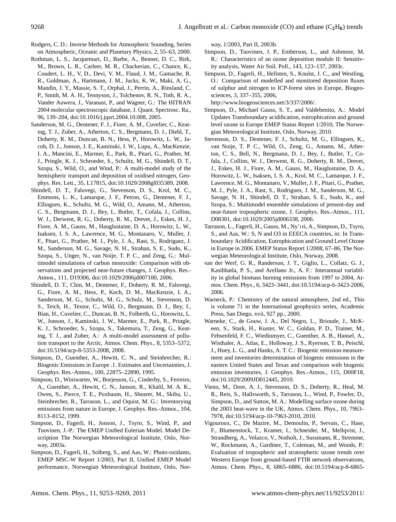- Rodgers, C. D.: Inverse Methods for Atmospheric Sounding, Series on Atmospheric, Oceanic and Planetary Physics, 2, 55–63, 2000.
- Rothman, L. S., Jacquemart, D., Barbe, A., Benner, D. C., Birk, M., Brown, L. R., Carleer, M. R., Chackerian, C., Chance, K., Coudert, L. H., V, D., Devi, V. M., Flaud, J. M., Gamache, R. R., Goldman, A., Hartmann, J. M., Jucks, K. W., Maki, A. G., Mandin, J. Y., Massie, S. T., Orphal, J., Perrin, A., Rinsland, C. P., Smith, M. A. H., Tennyson, J., Tolchenov, R. N., Toth, R. A., Vander Auwera, J., Varanasi, P., and Wagner, G.: The HITRAN 2004 molecular spectroscopic database, J. Quant. Spectrosc. Ra., 96, 139–204, [doi:10.1016/j.jqsrt.2004.10.008,](http://dx.doi.org/10.1016/j.jqsrt.2004.10.008) 2005.
- Sanderson, M. G., Dentener, F. J., Fiore, A. M., Cuvelier, C., Keating, T. J., Zuber, A., Atherton, C. S., Bergmann, D. J., Diehl, T., Doherty, R. M., Duncan, B. N., Hess, P., Horowitz, L. W., Jacob, D. J., Jonson, J. E., Kaminski, J. W., Lupu, A., MacKenzie, I. A., Mancini, E., Marmer, E., Park, R., Pitari, G., Prather, M. J., Pringle, K. J., Schroeder, S., Schultz, M. G., Shindell, D. T., Szopa, S., Wild, O., and Wind, P.: A multi-model study of the hemispheric transport and deposition of oxidised nitrogen, Geophys. Res. Lett., 35, L17815, [doi:10.1029/2008gl035389,](http://dx.doi.org/10.1029/2008gl035389) 2008.
- Shindell, D. T., Faluvegi, G., Stevenson, D. S., Krol, M. C., Emmons, L. K., Lamarque, J. F., Petron, G., Dentener, F. J., Ellingsen, K., Schultz, M. G., Wild, O., Amann, M., Atherton, C. S., Bergmann, D. J., Bey, I., Butler, T., Cofala, J., Collins, W. J., Derwent, R. G., Doherty, R. M., Drevet, J., Eskes, H. J., Fiore, A. M., Gauss, M., Hauglustaine, D. A., Horowitz, L. W., Isaksen, I. S. A., Lawrence, M. G., Montanaro, V., Muller, J. F., Pitari, G., Prather, M. J., Pyle, J. A., Rast, S., Rodriguez, J. M., Sanderson, M. G., Savage, N. H., Strahan, S. E., Sudo, K., Szopa, S., Unger, N., van Noije, T. P. C., and Zeng, G.: Multimodel simulations of carbon monoxide: Comparison with observations and projected near-future changes, J. Geophys. Res.- Atmos., 111, D19306, [doi:10.1029/2006jd007100,](http://dx.doi.org/10.1029/2006jd007100) 2006.
- Shindell, D. T., Chin, M., Dentener, F., Doherty, R. M., Faluvegi, G., Fiore, A. M., Hess, P., Koch, D. M., MacKenzie, I. A., Sanderson, M. G., Schultz, M. G., Schulz, M., Stevenson, D. S., Teich, H., Textor, C., Wild, O., Bergmann, D. J., Bey, I., Bian, H., Cuvelier, C., Duncan, B. N., Folberth, G., Horowitz, L. W., Jonson, J., Kaminski, J. W., Marmer, E., Park, R., Pringle, K. J., Schroeder, S., Szopa, S., Takemura, T., Zeng, G., Keating, T. J., and Zuber, A.: A multi-model assessment of pollution transport to the Arctic, Atmos. Chem. Phys., 8, 5353–5372, [doi:10.5194/acp-8-5353-2008,](http://dx.doi.org/10.5194/acp-8-5353-2008) 2008.
- Simpson, D., Guenther, A., Hewitt, C. N., and Steinbrecher, R.: Biogenic Emissions in Europe .1. Estimates and Uncertainties, J. Geophys. Res.-Atmos., 100, 22875–22890, 1995.
- Simpson, D., Winiwarter, W., Borjesson, G., Cinderby, S., Ferreiro, A., Guenther, A., Hewitt, C. N., Janson, R., Khalil, M. A. K., Owen, S., Pierce, T. E., Puxbaum, H., Shearer, M., Skiba, U., Steinbrecher, R., Tarrason, L., and Oquist, M. G.: Inventorying emissions from nature in Europe, J. Geophys. Res.-Atmos., 104, 8113–8152, 1999.
- Simpson, D., Fagerli, H., Jonson, J., Tsyro, S., Wind, P., and Tuovinen, J.-P.: The EMEP Unified Eulerian Model. Model Description The Norwegian Meteorological Institute, Oslo, Norway, 2003a.
- Simpson, D., Fagerli, H., Solberg, S., and Aas, W.: Photo-oxidants, EMEP MSC-W Report 1/2003, Part II, Unified EMEP Model performance, Norwegian Meteorological Institute, Oslo, Nor-

way, 1/2003, Part II, 2003b.

- Simpson, D., Tuovinen, J. P., Emberson, L., and Ashmore, M. R.: Characteristics of an ozone deposition module II: Sensitivity analysis, Water Air Soil. Poll., 143, 123–137, 2003c.
- Simpson, D., Fagerli, H., Hellsten, S., Knulst, J. C., and Westling, O.: Comparison of modelled and monitored deposition fluxes of sulphur and nitrogen to ICP-forest sites in Europe, Biogeosciences, 3, 337–355, 2006,

[http://www.biogeosciences.net/3/337/2006/.](http://www.biogeosciences.net/3/337/2006/)

- Simpson, D., Michael Gauss, S. T., and Valdebenito, A.: Model Updates Transboundary acidification, eutrophication and ground level ozone in Europe EMEP Status Report 1/2010, The Norwegian Meteorological Institute, Oslo, Norway, 2010.
- Stevenson, D. S., Dentener, F. J., Schultz, M. G., Ellingsen, K., van Noije, T. P. C., Wild, O., Zeng, G., Amann, M., Atherton, C. S., Bell, N., Bergmann, D. J., Bey, I., Butler, T., Cofala, J., Collins, W. J., Derwent, R. G., Doherty, R. M., Drevet, J., Eskes, H. J., Fiore, A. M., Gauss, M., Hauglustaine, D. A., Horowitz, L. W., Isaksen, I. S. A., Krol, M. C., Lamarque, J. F., Lawrence, M. G., Montanaro, V., Muller, J. F., Pitari, G., Prather, M. J., Pyle, J. A., Rast, S., Rodriguez, J. M., Sanderson, M. G., Savage, N. H., Shindell, D. T., Strahan, S. E., Sudo, K., and Szopa, S.: Multimodel ensemble simulations of present-day and near-future tropospheric ozone, J. Geophys. Res.-Atmos., 111, D08301, [doi:10.1029/2005jd006338,](http://dx.doi.org/10.1029/2005jd006338) 2006.
- Tarrason, L., Fagerli, H., Gauss, M., Ny'ıri, A., Simpson, D., Tsyro, S., and Aas, W.: S, N and O3 in EEECA countries, in: In Transboundary Acidification, Eutrophication and Ground Level Ozone in Europe in 2006. EMEP Status Report 1/2008, 67–86, The Norwegian Meteorological Institute, Oslo, Norway, 2008.
- van der Werf, G. R., Randerson, J. T., Giglio, L., Collatz, G. J., Kasibhatla, P. S., and Arellano Jr., A. F.: Interannual variability in global biomass burning emissions from 1997 to 2004, Atmos. Chem. Phys., 6, 3423–3441, [doi:10.5194/acp-6-3423-2006,](http://dx.doi.org/10.5194/acp-6-3423-2006) 2006.
- Warneck, P.: Chemistry of the natural atmosphere, 2nd ed., This is volume 71 in the International geophysics series, Academic Press, San Diego, xvii, 927 pp., 2000.
- Warneke, C., de Gouw, J. A., Del Negro, L., Brioude, J., McKeen, S., Stark, H., Kuster, W. C., Goldan, P. D., Trainer, M., Fehsenfeld, F. C., Wiedinmyer, C., Guenther, A. B., Hansel, A., Wisthaler, A., Atlas, E., Holloway, J. S., Ryerson, T. B., Peischl, J., Huey, L. G., and Hanks, A. T. C.: Biogenic emission measurement and inventories determination of biogenic emissions in the eastern United States and Texas and comparison with biogenic emission inventories, J. Geophys. Res.-Atmos., 115, D00F18, [doi:10.1029/2009JD012445,](http://dx.doi.org/10.1029/2009JD012445) 2010.
- Vieno, M., Dore, A. J., Stevenson, D. S., Doherty, R., Heal, M. R., Reis, S., Hallsworth, S., Tarrason, L., Wind, P., Fowler, D., Simpson, D., and Sutton, M. A.: Modelling surface ozone during the 2003 heat-wave in the UK, Atmos. Chem. Phys., 10, 7963– 7978, [doi:10.5194/acp-10-7963-2010,](http://dx.doi.org/10.5194/acp-10-7963-2010) 2010.
- Vigouroux, C., De Mazire, M., Demoulin, P., Servais, C., Hase, F., Blumenstock, T., Kramer, I., Schneider, M., Mellqvist, J., Strandberg, A., Velazco, V., Notholt, J., Sussmann, R., Stremme, W., Rockmann, A., Gardiner, T., Coleman, M., and Woods, P.: Evaluation of tropospheric and stratospheric ozone trends over Western Europe from ground-based FTIR network observations, Atmos. Chem. Phys., 8, 6865–6886, [doi:10.5194/acp-8-6865-](http://dx.doi.org/10.5194/acp-8-6865-2008)